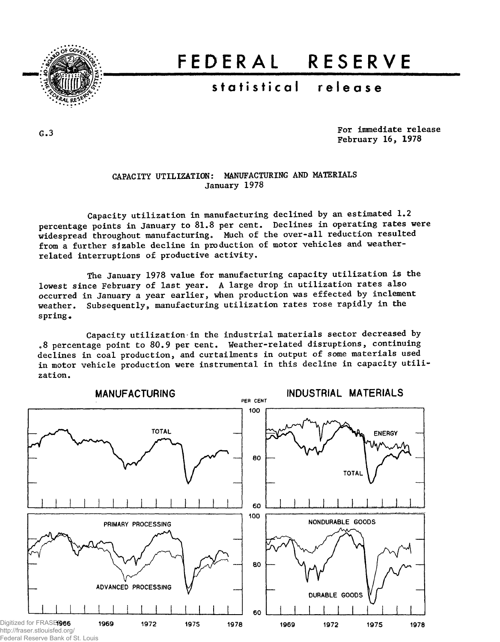

# FEDERA L RESERV E

## statistical release

G.3

For immediate release February 16, 1978

#### CAPACITY UTILIZATION: MANUFACTURING AND MATERIALS January 1978

Capacity utilization in manufacturing declined by an estimated 1.2 percentage points in January to 81.8 per cent. Declines in operating rates were widespread throughout manufacturing. Much of the over-all reduction resulted from a further sizable decline in production of motor vehicles and weatherrelated interruptions of productive activity.

The January 1978 value for manufacturing capacity utilization is the lowest since February of last year. A large drop in utilization rates also occurred in January a year earlier, when production was effected by inclement weather. Subsequently, manufacturing utilization rates rose rapidly in the spring.

Capacity utilization in the industrial materials sector decreased by .8 percentage point to 80.9 per cent. Weather-related disruptions, continuing declines in coal production, and curtailments in output of some materials used in motor vehicle production were instrumental in this decline in capacity utilization.



Federal Reserve Bank of St. Louis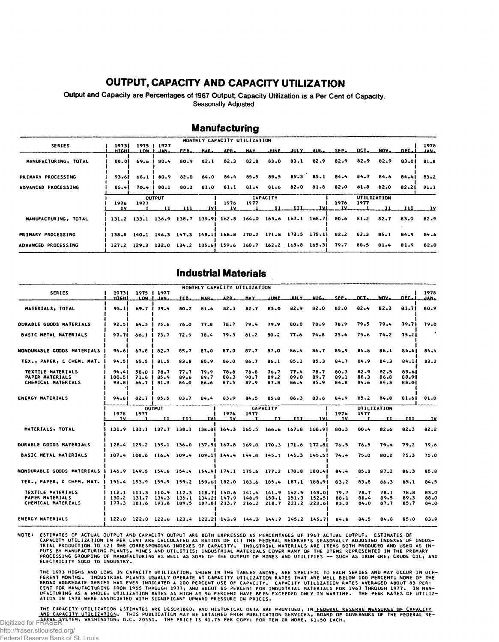#### **OUTPUT, CAPACITY AND CAPACITY UTILIZATION**

Output and Capacity are Percentages of 1967 Output; Capacity Utilization is a Per Cent of Capacity. Seasonally Adjusted

|                      |                 |      |                          |                       |       | MONTHLY CAPACITY UTILIZATION                                                           |      |  |     |     |                                                   |      |  |      |              |
|----------------------|-----------------|------|--------------------------|-----------------------|-------|----------------------------------------------------------------------------------------|------|--|-----|-----|---------------------------------------------------|------|--|------|--------------|
| <b>SERIES</b>        | 19731<br>HIGHI. |      | 1975   1977<br>LOW LJAN. |                       |       | FEB. MAR. APR. MAY JUNE JULY AUG. SEP. OCT. NOV. DEC.1                                 |      |  |     |     |                                                   |      |  |      | 1978<br>JAN- |
| MANUFACTURING, TOTAL | 88.01           |      | $69.6$   80.4            |                       |       | 80.9 82.1 82.3 82.8 83.0 83.1 82.9 82.9 82.9 82.9 83.01                                |      |  |     |     |                                                   |      |  |      | 81.8         |
| PRIMARY PROCESSING   | 93.61           |      |                          | 68.1   80.9 82.0 84.0 |       |                                                                                        |      |  |     |     | 84.4 85.5 85.5 85.3 85.1 84.4 84.7 84.6 84.4 83.2 |      |  |      |              |
| ADVANCED PROCESSING  | 85.41           |      |                          |                       |       | 70.4   80.1 80.3 81.0 81.1 81.4 81.6 82.0 81.8 82.0 81.8 82.0 82.21                    |      |  |     |     |                                                   |      |  |      | 81.1         |
|                      | <b>CUTPUT</b>   |      |                          |                       |       | <b>CAPACITY</b>                                                                        |      |  |     |     | UTILIZATION                                       |      |  |      |              |
|                      | 1976<br>TV.     | 1977 | - 11                     |                       | -IV I | 1976<br>- 1 V                                                                          | 1977 |  | 111 | IVI | 1976<br>_1Y_                                      | 1977 |  |      |              |
| MANUFACTURING, TOTAL |                 |      |                          |                       |       | 131.2 133.1 136.9 138.7 139.9 162.8 164.0 165.6 167.1 168.7 80.6 81.2 82.7 83.0        |      |  |     |     |                                                   |      |  |      | 82.9         |
| PRIMARY PROCESSING   |                 |      |                          |                       |       | 138.8 140.1 146.3 147.3 148.1  168.8 170.2 171.8 173.5 175.1  82.2 82.3 85.1           |      |  |     |     |                                                   |      |  | 84.9 | 84.6         |
| ADVANCED PROCESSING  |                 |      |                          |                       |       | 127.2 129.3 132.0 134.2 135.6  159.6 160.7 162.2 163.8 165.3  79.7 80.5 81.4 81.9 82.0 |      |  |     |     |                                                   |      |  |      |              |

#### **Manufacturing**

#### **Industrial Materials**

|                                                                                          |                                                                              |                                                                  |                                      |                         |                      | MONTHLY CAPACITY UTILIZATION        |                      |                       |                      |                      |                      |                      |                      |                         |                      |
|------------------------------------------------------------------------------------------|------------------------------------------------------------------------------|------------------------------------------------------------------|--------------------------------------|-------------------------|----------------------|-------------------------------------|----------------------|-----------------------|----------------------|----------------------|----------------------|----------------------|----------------------|-------------------------|----------------------|
| <b>SERIES</b>                                                                            | 19731<br>нісні                                                               |                                                                  | 1975   1977<br>LOW LJAN              | FEB.                    | MAR.                 | APR.                                | <b>HAY</b>           | JUNE.                 | <b>BILY</b>          | AUG.                 | SFP.                 | OCT.                 | NOV.                 | DEC. I                  | 1978<br>حمامات       |
| MATERIALS. TOTAL                                                                         | 93.11                                                                        | 69.7 <sup>1</sup>                                                | 79.4                                 | 80.2                    | 81.6                 | 82.1                                | 82.7                 | 83.0                  | 82.9                 | 82.0                 | 82.0                 | $82 - 4$             | $82 - 3$             | 81.71                   | 80.9                 |
| <b>DURABLE GOODS MATERIALS</b>                                                           | 92.51                                                                        | 64.3                                                             | 75.6                                 | 76.0                    | 77.8                 | 78.7                                | 79.4                 | 79.9                  | $80 - 0$             | 78.9                 | 78.9                 | 79.5                 | 79.4                 | 79.71                   | 79.0                 |
| <b>BASIC METAL MATERIALS</b>                                                             | 97.71                                                                        |                                                                  | $66.1$   $73.7$                      | 72.9                    | 78.4                 | 79.3                                | 81.2                 | $80 - 2$              | 77.6                 | 74.8                 | 73.4                 | 75.6                 | 74.2                 | 75.21                   |                      |
| NONDURABLE GOODS MATERIALS                                                               | <b>94.61</b>                                                                 | 67.8                                                             | 82.7                                 | 85.7                    | 87.0                 | 87.0                                | 87.7                 | 87.0                  | 86.4                 | 86.7                 | 85.9                 | 85.8                 | 86.1                 | 85.61                   | 84.4                 |
| TEX., PAPER, & CHEM. MAT.                                                                | 94.51                                                                        | 65.5                                                             | 81.5                                 | 83.8                    | 85.9                 | 86.0                                | 86.7                 | 86.1                  | 85.1                 | 85.3                 | 84.7                 | 84.9                 | 84.3                 | 84.11                   | 83.2                 |
| <b>TEXTILE MATERIALS</b><br><b>PAPER MATERIALS</b><br>CHEMICAL MATERIALS                 | 94.41<br>100.51<br>93.81                                                     | 71.8                                                             | 58.0   78.7<br>85.9<br>$64.7$   81.3 | 77.7<br>89.6<br>84.0    | 79.9<br>89.7<br>86.6 | 78.8<br>88.3<br>87.5                | 78.8<br>90.7<br>87.9 | 76.7<br>89.2<br>87.8  | 77.4<br>89.0<br>86.4 | 78.7<br>89.7<br>85.9 | 80.3<br>89.1<br>84.8 | 82.9<br>88.3<br>84.6 | 82.5<br>86.8<br>84.3 | 83.61<br>88.91<br>83.01 |                      |
| <b>ENERGY MATERIALS</b>                                                                  | 94.61                                                                        |                                                                  | $82.7$   $85.5$                      | 83.7                    | 84.4                 | 83.9                                | 84.5                 | 85.8                  | 86.3                 | 83.6                 | 84.9                 | $85 - 2$             | 84.8                 | 81.61                   | 81.0                 |
|                                                                                          | 1976<br>ΙУ.                                                                  | 1977                                                             | <b>OUTPUT</b><br>11.                 | 111.                    | - IV I               | 1976<br>IV.                         | 1977                 | <b>CAPACITY</b><br>11 | 111.                 | .IVI                 | 1976<br>. IV.        | 1977                 | UTILIZATION<br>1 T   | ш                       | _LV                  |
| MATERIALS, TOTAL                                                                         |                                                                              | 131.9 133.1 137.7 138.1 138.8 164.3 165.5 166.6 167.8 168.9      |                                      |                         |                      |                                     |                      |                       |                      |                      | 80.3                 | $80 - 4$             | $82 - 6$             | 82.3                    | 82.2                 |
| <b>DURABLE GOODS MATERIALS</b>                                                           |                                                                              | 128.4 129.2 135.1 136.0 137.5 167.8 169.0 170.3 171.6 172.8      |                                      |                         |                      |                                     |                      |                       |                      |                      | 76.5                 | 76.5                 | 79.4                 | 79.2                    | 79.6                 |
| <b>BASIC METAL MATERIALS</b>                                                             |                                                                              | 107.4 108.6 116.4 109.4 109.1  144.4 144.8 145.1 145.3 145.5     |                                      |                         |                      |                                     |                      |                       |                      |                      | 74.4                 | 75.0                 | 80.2                 | 75.3                    | 75.0                 |
| NONDURABLE GOODS MATERIALS   146.9 149.5 154.6 154.4 154.9 174.1 175.6 177.2 178.8 180.4 |                                                                              |                                                                  |                                      |                         |                      |                                     |                      |                       |                      |                      | 84.4                 | $85 - 1$             | 87.2                 | 86.3                    | 85.8                 |
| TEX., PAPER, & CHEM. MAT.   151.4 153.9 159.9 159.2 159.6  182.0 183.6 185.4 187.1 188.9 |                                                                              |                                                                  |                                      |                         |                      |                                     |                      |                       |                      |                      | 83.2                 | 83.8                 | 86.3                 | 85.1                    | 84.5                 |
| TEXTILE MATERIALS<br><b>PAPER MATERIALS</b><br>CHEMICAL MATERIALS                        | 130.2<br>$  177.3 181.6 191.8 189.5 187.8   213.7 216.2 218.7 221.2 223.6  $ | 112.1 111.3 110.9 112.3 118.7  140.6 141.4 141.9 142.5 143.0     |                                      | $131.7$ $134.3$ $135.1$ |                      | 134.2 147.9 148.9 150.1 151.3 152.5 |                      |                       |                      |                      | 79.7<br>88.1<br>83.0 | 78.7<br>88.4<br>84.0 | 78.1<br>89.5<br>87.7 | 78.8<br>89.3<br>85.7    | 83.0<br>88.0<br>84.0 |
| <b>ENERGY MATERIALS</b>                                                                  |                                                                              | 122.0 122.0 122.6 123.4 122.2 143.9 144.3 144.7 145.2 145.7 84.8 |                                      |                         |                      |                                     |                      |                       |                      |                      |                      | 84.5                 | 84.8                 | 85.0                    | 83.9                 |

NOTE: ESTIMATES OF ACTUAL OUTPUT AND CAPACITY OUTPUT ARE BOTH EXPRESSED AS PERCENTAGES OF 1967 ACTUAL OUTPUT. ESTIMATES OF<br>CAPACITY UTILIZATION IN PER CENT ARE CALCULATED AS RAITOS OF (1) THE FEDERAL RESERVE'S SEASONALLY A

THE 1973 HIGHS AND LOWS IN CAPACITY UTILIZATION, SHOWN IN THE TABLES ABOVE, ARE SPECIFIC TO EACH SERIES AND MAY OCCUR IN DIF—<br>FERENT MONTHS. INDUSTRIAL PLANTS USUALLY OPERATE AT CAPACITY UTILIZATION RATES THAT ARE WELL BEL

THE CAPACITY UTILIZATION ESTIMATES ARE DESCRIBED, AND HISTORICAL DATA ARE PROVIDED, IN <u>FEDERAL RESERVE MEASURES OF CAPACITY</u><br>AND CAPACITY UTILIZATION. THIS PUBLICATION MAY BE OBTAINED FROM PUBLICATION SERVICES, BOARD OF G

http://fraser.stlouisfed.org/ Federal Reserve Bank of St. Louis